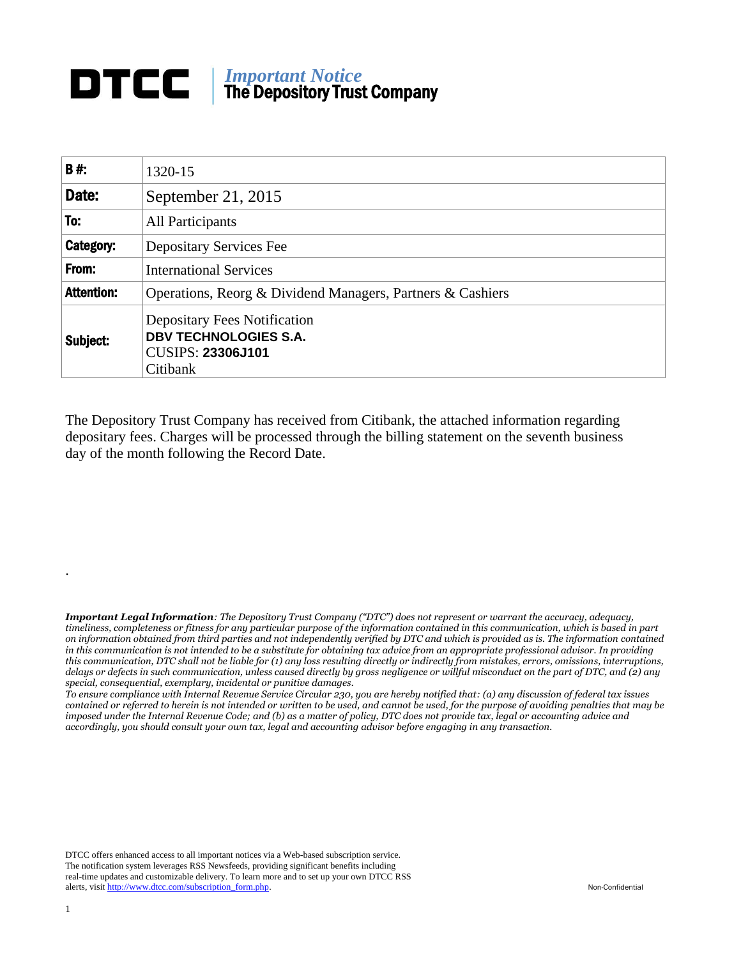## *Important Notice* The Depository Trust Company

| <b>B#:</b>        | 1320-15                                                                                                     |  |  |  |  |
|-------------------|-------------------------------------------------------------------------------------------------------------|--|--|--|--|
| Date:             | September 21, 2015                                                                                          |  |  |  |  |
| To:               | All Participants                                                                                            |  |  |  |  |
| Category:         | Depositary Services Fee                                                                                     |  |  |  |  |
| From:             | <b>International Services</b>                                                                               |  |  |  |  |
| <b>Attention:</b> | Operations, Reorg & Dividend Managers, Partners & Cashiers                                                  |  |  |  |  |
| Subject:          | <b>Depositary Fees Notification</b><br><b>DBV TECHNOLOGIES S.A.</b><br><b>CUSIPS: 23306J101</b><br>Citibank |  |  |  |  |

The Depository Trust Company has received from Citibank, the attached information regarding depositary fees. Charges will be processed through the billing statement on the seventh business day of the month following the Record Date.

*Important Legal Information: The Depository Trust Company ("DTC") does not represent or warrant the accuracy, adequacy, timeliness, completeness or fitness for any particular purpose of the information contained in this communication, which is based in part on information obtained from third parties and not independently verified by DTC and which is provided as is. The information contained in this communication is not intended to be a substitute for obtaining tax advice from an appropriate professional advisor. In providing this communication, DTC shall not be liable for (1) any loss resulting directly or indirectly from mistakes, errors, omissions, interruptions, delays or defects in such communication, unless caused directly by gross negligence or willful misconduct on the part of DTC, and (2) any special, consequential, exemplary, incidental or punitive damages.*

*To ensure compliance with Internal Revenue Service Circular 230, you are hereby notified that: (a) any discussion of federal tax issues contained or referred to herein is not intended or written to be used, and cannot be used, for the purpose of avoiding penalties that may be imposed under the Internal Revenue Code; and (b) as a matter of policy, DTC does not provide tax, legal or accounting advice and accordingly, you should consult your own tax, legal and accounting advisor before engaging in any transaction.*

DTCC offers enhanced access to all important notices via a Web-based subscription service. The notification system leverages RSS Newsfeeds, providing significant benefits including real-time updates and customizable delivery. To learn more and to set up your own DTCC RSS alerts, visit [http://www.dtcc.com/subscription\\_form.php.](http://www.dtcc.com/subscription_form.php) Non-Confidential

.